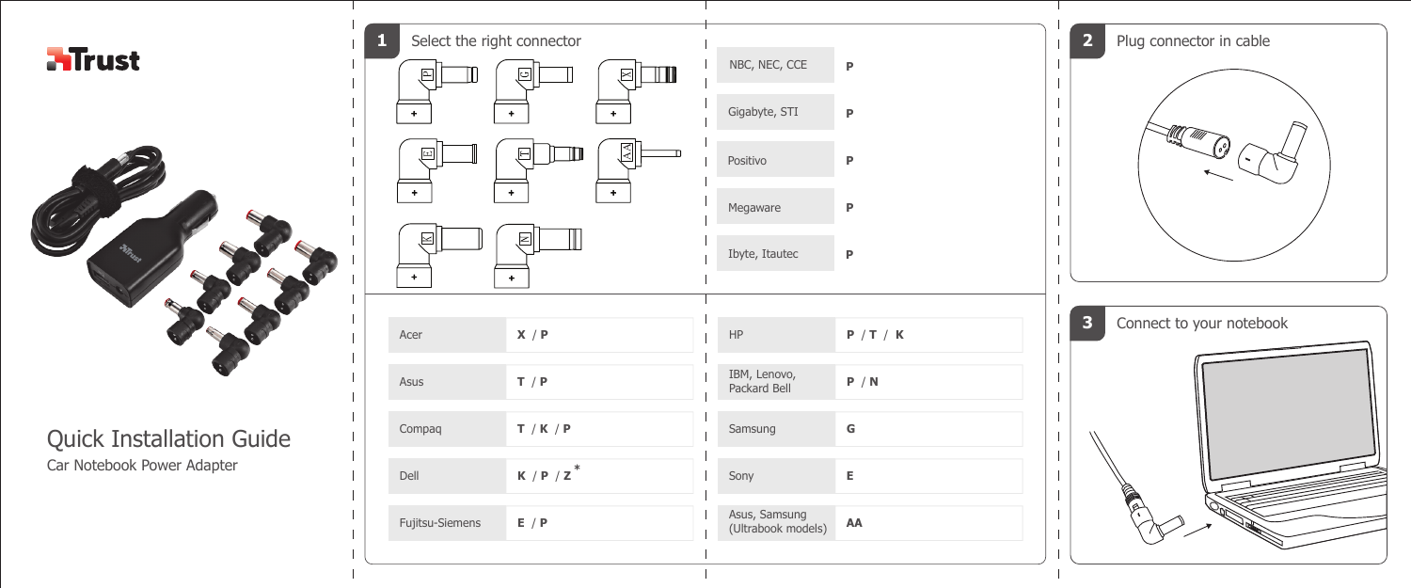